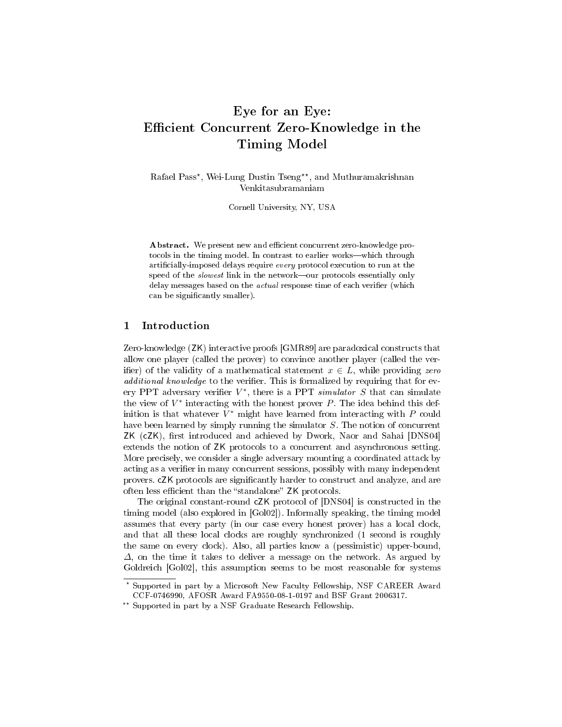# Eye for an Eye: Efficient Concurrent Zero-Knowledge in the Timing Model

Rafael Pass\*, Wei-Lung Dustin Tseng\*\*, and Muthuramakrishnan Venkitasubramaniam

Cornell University, NY, USA

Abstract. We present new and efficient concurrent zero-knowledge protocols in the timing model. In contrast to earlier works-which through artificially-imposed delays require every protocol execution to run at the speed of the *slowest* link in the network—our protocols essentially only delay messages based on the *actual* response time of each verifier (which can be significantly smaller).

## 1 Introduction

Zero-knowledge (ZK) interactive proofs [GMR89] are paradoxical constructs that allow one player (called the prover) to convince another player (called the verifier) of the validity of a mathematical statement  $x \in L$ , while providing zero  $additional\ knowledge\ to\ the\ verifier. This\ is formalized by requiring that for ev$ ery PPT adversary verifier  $V^*$ , there is a PPT *simulator* S that can simulate the view of  $V^*$  interacting with the honest prover  $P$ . The idea behind this definition is that whatever  $V^*$  might have learned from interacting with  $P$  could have been learned by simply running the simulator S. The notion of concurrent ZK (cZK), first introduced and achieved by Dwork, Naor and Sahai [DNS04] extends the notion of ZK protocols to a concurrent and asynchronous setting. More precisely, we consider a single adversary mounting a coordinated attack by acting as a verifier in many concurrent sessions, possibly with many independent provers. cZK protocols are significantly harder to construct and analyze, and are often less efficient than the "standalone" ZK protocols.

The original constant-round cZK protocol of [DNS04] is constructed in the timing model (also explored in [Gol02]). Informally speaking, the timing model assumes that every party (in our case every honest prover) has a local clock, and that all these local clocks are roughly synchronized (1 second is roughly the same on every clock). Also, all parties know a (pessimistic) upper-bound,  $\Delta$ , on the time it takes to deliver a message on the network. As argued by Goldreich [Gol02], this assumption seems to be most reasonable for systems

<sup>?</sup> Supported in part by a Microsoft New Faculty Fellowship, NSF CAREER Award CCF-0746990, AFOSR Award FA9550-08-1-0197 and BSF Grant 2006317.

<sup>\*\*</sup> Supported in part by a NSF Graduate Research Fellowship.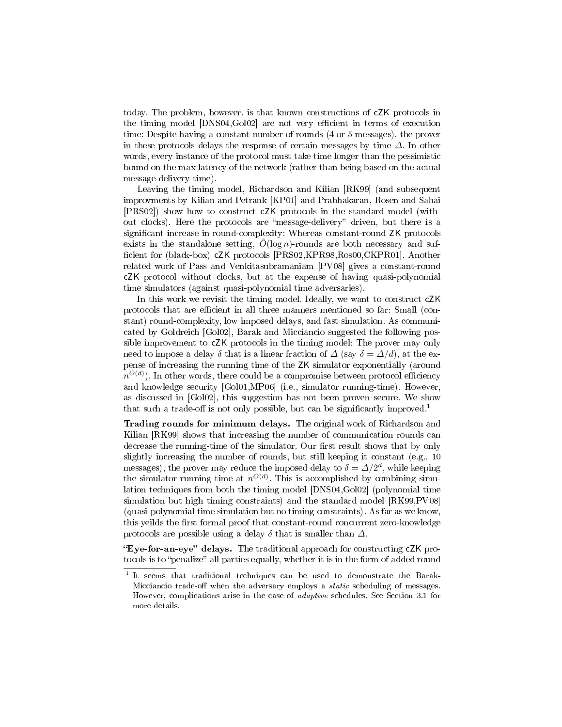today. The problem, however, is that known constructions of cZK protocols in the timing model [DNS04,Gol02] are not very efficient in terms of execution time: Despite having a constant number of rounds (4 or 5 messages), the prover in these protocols delays the response of certain messages by time  $\Delta$ . In other words, every instance of the protocol must take time longer than the pessimistic bound on the max latency of the network (rather than being based on the actual message-delivery time).

Leaving the timing model, Richardson and Kilian [RK99] (and subsequent improvments by Kilian and Petrank [KP01] and Prabhakaran, Rosen and Sahai [PRS02]) show how to construct cZK protocols in the standard model (without clocks). Here the protocols are "message-delivery" driven, but there is a significant increase in round-complexity: Whereas constant-round ZK protocols exists in the standalone setting,  $O(\log n)$ -rounds are both necessary and sufficient for (black-box) cZK protocols [PRS02,KPR98,Ros00,CKPR01]. Another related work of Pass and Venkitasubramaniam [PV08] gives a constant-round cZK protocol without clocks, but at the expense of having quasi-polynomial time simulators (against quasi-polynomial time adversaries).

In this work we revisit the timing model. Ideally, we want to construct cZK protocols that are efficient in all three manners mentioned so far: Small (constant) round-complexity, low imposed delays, and fast simulation. As communicated by Goldreich [Gol02], Barak and Micciancio suggested the following possible improvement to cZK protocols in the timing model: The prover may only need to impose a delay  $\delta$  that is a linear fraction of  $\Delta$  (say  $\delta = \Delta/d$ ), at the expense of increasing the running time of the ZK simulator exponentially (around  $n^{O(d)}$ ). In other words, there could be a compromise between protocol efficiency and knowledge security [Gol01,MP06] (i.e., simulator running-time). However, as discussed in [Gol02], this suggestion has not been proven secure. We show that such a trade-off is not only possible, but can be significantly improved.<sup>1</sup>

Trading rounds for minimum delays. The original work of Richardson and Kilian [RK99] shows that increasing the number of communication rounds can decrease the running-time of the simulator. Our first result shows that by only slightly increasing the number of rounds, but still keeping it constant (e.g., 10 messages), the prover may reduce the imposed delay to  $\delta = \Delta/2^d$ , while keeping the simulator running time at  $n^{O(d)}$ . This is accomplished by combining simulation techniques from both the timing model [DNS04,Gol02] (polynomial time simulation but high timing constraints) and the standard model [RK99,PV08] (quasi-polynomial time simulation but no timing constraints). As far as we know, this yeilds the first formal proof that constant-round concurrent zero-knowledge protocols are possible using a delay  $\delta$  that is smaller than  $\Delta$ .

"Eye-for-an-eye" delays. The traditional approach for constructing  $cZK$  protocols is to "penalize" all parties equally, whether it is in the form of added round

<sup>&</sup>lt;sup>1</sup> It seems that traditional techniques can be used to demonstrate the Barak-Micciancio trade-off when the adversary employs a *static* scheduling of messages. However, complications arise in the case of adaptive schedules. See Section 3.1 for more details.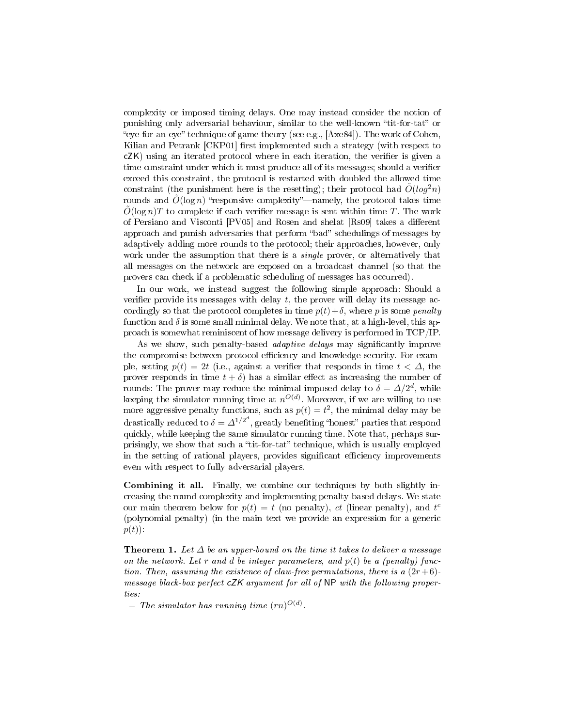complexity or imposed timing delays. One may instead consider the notion of punishing only adversarial behaviour, similar to the well-known "tit-for-tat" or "eye-for-an-eye" technique of game theory (see e.g.,  $[Axe84]$ ). The work of Cohen, Kilian and Petrank [CKP01] first implemented such a strategy (with respect to  $cZK$ ) using an iterated protocol where in each iteration, the verifier is given a time constraint under which it must produce all of its messages; should a verifier exceed this constraint, the protocol is restarted with doubled the allowed time constraint (the punishment here is the resetting); their protocol had  $\tilde{O}(\log^2 n)$ rounds and  $\tilde{O}(\log n)$  "responsive complexity"—namely, the protocol takes time  $\tilde{O}(\log n)T$  to complete if each verifier message is sent within time T. The work of Persiano and Visconti [PV05] and Rosen and shelat [Rs09] takes a different approach and punish adversaries that perform "bad" schedulings of messages by adaptively adding more rounds to the protocol; their approaches, however, only work under the assumption that there is a *single* prover, or alternatively that all messages on the network are exposed on a broadcast channel (so that the provers can check if a problematic scheduling of messages has occurred).

In our work, we instead suggest the following simple approach: Should a verifier provide its messages with delay  $t$ , the prover will delay its message accordingly so that the protocol completes in time  $p(t)+\delta$ , where p is some penalty function and  $\delta$  is some small minimal delay. We note that, at a high-level, this approach is somewhat reminiscent of how message delivery is performed in TCP/IP.

As we show, such penalty-based *adaptive delays* may significantly improve the compromise between protocol efficiency and knowledge security. For example, setting  $p(t) = 2t$  (i.e., against a verifier that responds in time  $t < \Delta$ , the prover responds in time  $t + \delta$  has a similar effect as increasing the number of rounds: The prover may reduce the minimal imposed delay to  $\delta = \Delta/2^d,$  while keeping the simulator running time at  $n^{O(d)}$ . Moreover, if we are willing to use more aggressive penalty functions, such as  $p(t) = t^2$ , the minimal delay may be drastically reduced to  $\delta = \varDelta^{1/2^d},$  greatly benefiting "honest" parties that respond quickly, while keeping the same simulator running time. Note that, perhaps surprisingly, we show that such a "tit-for-tat" technique, which is usually employed in the setting of rational players, provides significant efficiency improvements even with respect to fully adversarial players.

Combining it all. Finally, we combine our techniques by both slightly increasing the round complexity and implementing penalty-based delays. We state our main theorem below for  $p(t) = t$  (no penalty), ct (linear penalty), and  $t^c$ (polynomial penalty) (in the main text we provide an expression for a generic  $p(t)$ :

**Theorem 1.** Let  $\Delta$  be an upper-bound on the time it takes to deliver a message on the network. Let r and d be integer parameters, and  $p(t)$  be a (penalty) function. Then, assuming the existence of claw-free permutations, there is a  $(2r+6)$ message black-box perfect cZK argument for all of NP with the following properties:

- The simulator has running time  $(rn)^{O(d)}$ .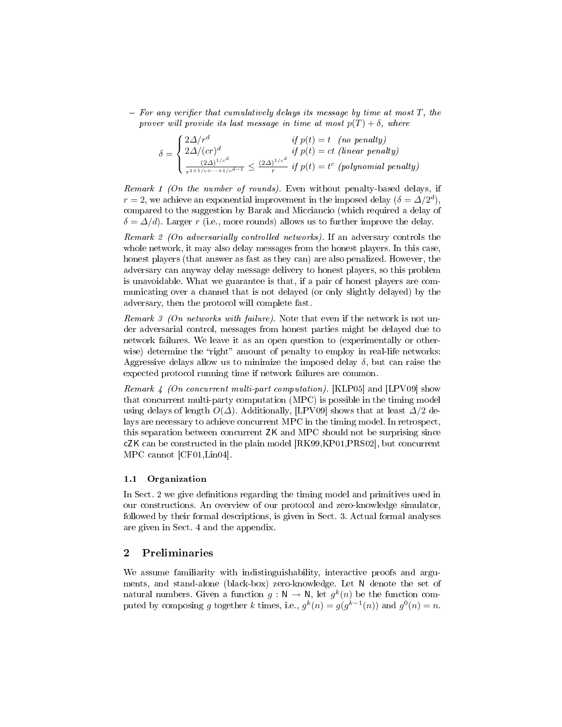$-$  For any verifier that cumulatively delays its message by time at most  $T$ , the prover will provide its last message in time at most  $p(T) + \delta$ , where

$$
\delta = \begin{cases} \frac{2\Delta/r^d}{r^2} & \text{if } p(t) = t \quad \text{(no penalty)}\\ \frac{2\Delta/(cr)^d}{r^{1+1/c+\dots+1/c^{d-1}}} \le \frac{(2\Delta)^{1/c^d}}{r} & \text{if } p(t) = t^c \quad \text{(polynomial penalty)} \end{cases}
$$

Remark 1 (On the number of rounds). Even without penalty-based delays, if  $r = 2$ , we achieve an exponential improvement in the imposed delay  $(\delta = \Delta/2^d)$ , compared to the suggestion by Barak and Micciancio (which required a delay of  $\delta = \Delta/d$ ). Larger r (i.e., more rounds) allows us to further improve the delay.

Remark 2 (On adversarially controlled networks). If an adversary controls the whole network, it may also delay messages from the honest players. In this case, honest players (that answer as fast as they can) are also penalized. However, the adversary can anyway delay message delivery to honest players, so this problem is unavoidable. What we guarantee is that, if a pair of honest players are communicating over a channel that is not delayed (or only slightly delayed) by the adversary, then the protocol will complete fast.

Remark 3 (On networks with failure). Note that even if the network is not under adversarial control, messages from honest parties might be delayed due to network failures. We leave it as an open question to (experimentally or otherwise) determine the "right" amount of penalty to employ in real-life networks: Aggressive delays allow us to minimize the imposed delay  $\delta$ , but can raise the expected protocol running time if network failures are common.

Remark 4 (On concurrent multi-part computation). [KLP05] and [LPV09] show that concurrent multi-party computation (MPC) is possible in the timing model using delays of length  $O(\Delta)$ . Additionally, [LPV09] shows that at least  $\Delta/2$  delays are necessary to achieve concurrent MPC in the timing model. In retrospect, this separation between concurrent ZK and MPC should not be surprising since cZK can be constructed in the plain model [RK99,KP01,PRS02], but concurrent MPC cannot [CF01,Lin04].

#### 1.1 Organization

In Sect. 2 we give definitions regarding the timing model and primitives used in our constructions. An overview of our protocol and zero-knowledge simulator, followed by their formal descriptions, is given in Sect. 3. Actual formal analyses are given in Sect. 4 and the appendix.

# 2 Preliminaries

We assume familiarity with indistinguishability, interactive proofs and arguments, and stand-alone (black-box) zero-knowledge. Let N denote the set of natural numbers. Given a function  $g: \mathbb{N} \to \mathbb{N}$ , let  $g^k(n)$  be the function computed by composing g together k times, i.e.,  $g^k(n) = g(g^{k-1}(n))$  and  $g^0(n) = n$ .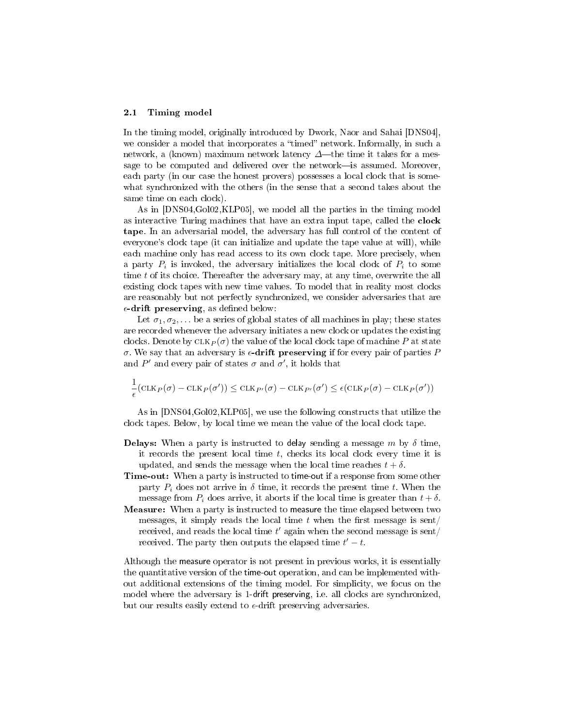#### 2.1 Timing model

In the timing model, originally introduced by Dwork, Naor and Sahai [DNS04], we consider a model that incorporates a "timed" network. Informally, in such a network, a (known) maximum network latency  $\Delta$ —the time it takes for a message to be computed and delivered over the network-is assumed. Moreover, each party (in our case the honest provers) possesses a local clock that is somewhat synchronized with the others (in the sense that a second takes about the same time on each clock).

As in [DNS04,Gol02,KLP05], we model all the parties in the timing model as interactive Turing machines that have an extra input tape, called the clock tape. In an adversarial model, the adversary has full control of the content of everyone's clock tape (it can initialize and update the tape value at will), while each machine only has read access to its own clock tape. More precisely, when a party  $P_i$  is invoked, the adversary initializes the local clock of  $P_i$  to some time t of its choice. Thereafter the adversary may, at any time, overwrite the all existing clock tapes with new time values. To model that in reality most clocks are reasonably but not perfectly synchronized, we consider adversaries that are  $\epsilon$ -drift preserving, as defined below:

Let  $\sigma_1, \sigma_2, \ldots$  be a series of global states of all machines in play; these states are recorded whenever the adversary initiates a new clock or updates the existing clocks. Denote by  $CLK_{P}(\sigma)$  the value of the local clock tape of machine P at state σ. We say that an adversary is  $\epsilon$ -drift preserving if for every pair of parties P and  $P'$  and every pair of states  $\sigma$  and  $\sigma'$ , it holds that

$$
\frac{1}{\epsilon}(\mathrm{CLK}_P(\sigma) - \mathrm{CLK}_P(\sigma')) \leq \mathrm{CLK}_{P'}(\sigma) - \mathrm{CLK}_{P'}(\sigma') \leq \epsilon(\mathrm{CLK}_P(\sigma) - \mathrm{CLK}_P(\sigma'))
$$

As in [DNS04,Gol02,KLP05], we use the following constructs that utilize the clock tapes. Below, by local time we mean the value of the local clock tape.

- **Delays:** When a party is instructed to delay sending a message m by  $\delta$  time, it records the present local time  $t$ , checks its local clock every time it is updated, and sends the message when the local time reaches  $t + \delta$ .
- Time-out: When a party is instructed to time-out if a response from some other party  $P_i$  does not arrive in  $\delta$  time, it records the present time t. When the message from  $P_i$  does arrive, it aborts if the local time is greater than  $t + \delta$ .
- Measure: When a party is instructed to measure the time elapsed between two messages, it simply reads the local time  $t$  when the first message is sent/ received, and reads the local time  $t'$  again when the second message is sent/ received. The party then outputs the elapsed time  $t' - t$ .

Although the measure operator is not present in previous works, it is essentially the quantitative version of the time-out operation, and can be implemented without additional extensions of the timing model. For simplicity, we focus on the model where the adversary is 1-drift preserving, i.e. all clocks are synchronized, but our results easily extend to  $\epsilon$ -drift preserving adversaries.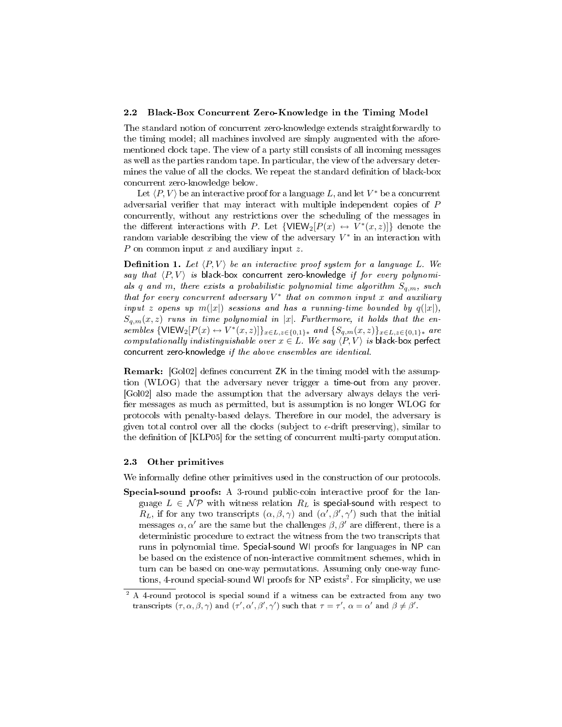#### 2.2 Black-Box Concurrent Zero-Knowledge in the Timing Model

The standard notion of concurrent zero-knowledge extends straightforwardly to the timing model; all machines involved are simply augmented with the aforementioned clock tape. The view of a party still consists of all incoming messages as well as the parties random tape. In particular, the view of the adversary determines the value of all the clocks. We repeat the standard definition of black-box concurrent zero-knowledge below.

Let  $\langle P, V \rangle$  be an interactive proof for a language  $L,$  and let  $V^*$  be a concurrent adversarial verifier that may interact with multiple independent copies of  $P$ concurrently, without any restrictions over the scheduling of the messages in the different interactions with P. Let  $\{\textsf{VIEW}_2[P(x) \leftrightarrow V^*(x,z)]\}$  denote the random variable describing the view of the adversary  $V^*$  in an interaction with P on common input  $x$  and auxiliary input  $z$ .

**Definition 1.** Let  $\langle P, V \rangle$  be an interactive proof system for a language L. We say that  $\langle P, V \rangle$  is black-box concurrent zero-knowledge if for every polynomials q and m, there exists a probabilistic polynomial time algorithm  $S_{q,m}$ , such that for every concurrent adversary  $V^*$  that on common input x and auxiliary input z opens up  $m(|x|)$  sessions and has a running-time bounded by  $q(|x|)$ ,  $S_{a,m}(x, z)$  runs in time polynomial in |x|. Furthermore, it holds that the ensembles  $\{\text{VIEW}_2[P(x) \leftrightarrow V^*(x, z)]\}_{x \in L, z \in \{0,1\}^*}$  and  $\{S_{q,m}(x, z)\}_{x \in L, z \in \{0,1\}^*}$  are computationally indistinguishable over  $x \in L$ . We say  $\langle P, V \rangle$  is black-box perfect concurrent zero-knowledge if the above ensembles are identical.

**Remark:** [Gol02] defines concurrent ZK in the timing model with the assumption (WLOG) that the adversary never trigger a time-out from any prover. [Gol02] also made the assumption that the adversary always delays the veri fier messages as much as permitted, but is assumption is no longer WLOG for protocols with penalty-based delays. Therefore in our model, the adversary is given total control over all the clocks (subject to  $\epsilon$ -drift preserving), similar to the definition of [KLP05] for the setting of concurrent multi-party computation.

#### 2.3 Other primitives

We informally define other primitives used in the construction of our protocols.

Special-sound proofs: A 3-round public-coin interactive proof for the language  $L \in \mathcal{NP}$  with witness relation  $R_L$  is special-sound with respect to  $R_L$ , if for any two transcripts  $(\alpha, \beta, \gamma)$  and  $(\alpha', \beta', \gamma')$  such that the initial messages  $\alpha, \alpha'$  are the same but the challenges  $\beta, \beta'$  are different, there is a deterministic procedure to extract the witness from the two transcripts that runs in polynomial time. Special-sound WI proofs for languages in NP can be based on the existence of non-interactive commitment schemes, which in turn can be based on one-way permutations. Assuming only one-way functions, 4-round special-sound WI proofs for NP exists<sup>2</sup>. For simplicity, we use

<sup>&</sup>lt;sup>2</sup> A 4-round protocol is special sound if a witness can be extracted from any two transcripts  $(\tau, \alpha, \beta, \gamma)$  and  $(\tau', \alpha', \beta', \gamma')$  such that  $\tau = \tau', \ \alpha = \alpha'$  and  $\beta \neq \beta'$ .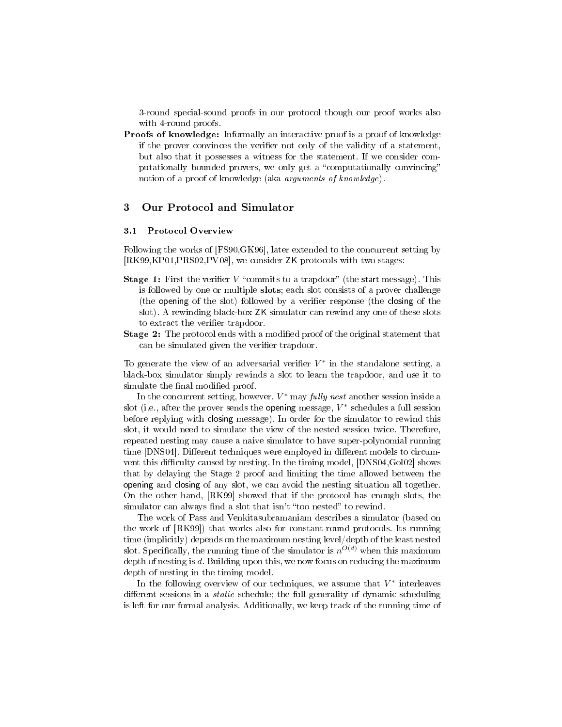3-round special-sound proofs in our protocol though our proof works also with 4-round proofs.

Proofs of knowledge: Informally an interactive proof is a proof of knowledge if the prover convinces the verifier not only of the validity of a statement, but also that it possesses a witness for the statement. If we consider computationally bounded provers, we only get a "computationally convincing" notion of a proof of knowledge (aka arguments of knowledge).

# 3 Our Protocol and Simulator

#### 3.1 Protocol Overview

Following the works of [FS90,GK96], later extended to the concurrent setting by [RK99,KP01,PRS02,PV08], we consider ZK protocols with two stages:

- **Stage 1:** First the verifier V "commits to a trapdoor" (the start message). This is followed by one or multiple slots; each slot consists of a prover challenge (the opening of the slot) followed by a verifier response (the closing of the slot). A rewinding black-box ZK simulator can rewind any one of these slots to extract the verifier trapdoor.
- **Stage 2:** The protocol ends with a modified proof of the original statement that can be simulated given the verifier trapdoor.

To generate the view of an adversarial verifier  $V^*$  in the standalone setting, a black-box simulator simply rewinds a slot to learn the trapdoor, and use it to simulate the final modified proof.

In the concurrent setting, however,  $V^*$  may *fully nest* another session inside a slot (i.e., after the prover sends the <mark>opening</mark> message,  $V^*$  schedules a full session before replying with closing message). In order for the simulator to rewind this slot, it would need to simulate the view of the nested session twice. Therefore, repeated nesting may cause a naive simulator to have super-polynomial running time [DNS04]. Different techniques were employed in different models to circumvent this difficulty caused by nesting. In the timing model, [DNS04,Gol02] shows that by delaying the Stage 2 proof and limiting the time allowed between the opening and closing of any slot, we can avoid the nesting situation all together. On the other hand, [RK99] showed that if the protocol has enough slots, the simulator can always find a slot that isn't "too nested" to rewind.

The work of Pass and Venkitasubramaniam describes a simulator (based on the work of [RK99]) that works also for constant-round protocols. Its running time (implicitly) depends on the maximum nesting level/depth of the least nested slot. Specifically, the running time of the simulator is  $n^{O(d)}$  when this maximum depth of nesting is d. Building upon this, we now focus on reducing the maximum depth of nesting in the timing model.

In the following overview of our techniques, we assume that  $V^*$  interleaves different sessions in a *static* schedule; the full generality of dynamic scheduling is left for our formal analysis. Additionally, we keep track of the running time of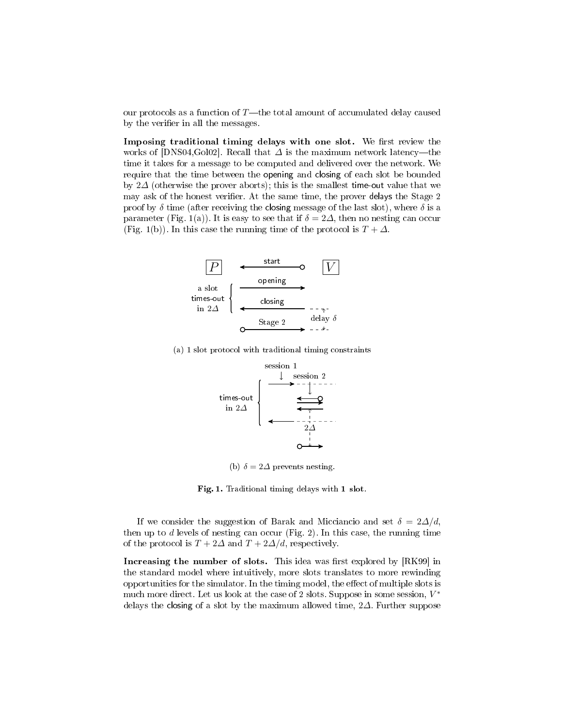our protocols as a function of  $T$ —the total amount of accumulated delay caused by the verifier in all the messages.

Imposing traditional timing delays with one slot. We first review the works of [DNS04,Gol02]. Recall that  $\Delta$  is the maximum network latency—the time it takes for a message to be computed and delivered over the network. We require that the time between the opening and closing of each slot be bounded by 2 $\Delta$  (otherwise the prover aborts); this is the smallest time-out value that we may ask of the honest verifier. At the same time, the prover delays the Stage 2 proof by  $\delta$  time (after receiving the closing message of the last slot), where  $\delta$  is a parameter (Fig. 1(a)). It is easy to see that if  $\delta = 2\Delta$ , then no nesting can occur (Fig. 1(b)). In this case the running time of the protocol is  $T + \Delta$ .



(a) 1 slot protocol with traditional timing constraints



(b)  $\delta = 2\Delta$  prevents nesting.

Fig. 1. Traditional timing delays with 1 slot.

If we consider the suggestion of Barak and Micciancio and set  $\delta = 2\Delta/d$ , then up to  $d$  levels of nesting can occur (Fig. 2). In this case, the running time of the protocol is  $T + 2\Delta$  and  $T + 2\Delta/d$ , respectively.

Increasing the number of slots. This idea was first explored by  $[RK99]$  in the standard model where intuitively, more slots translates to more rewinding opportunities for the simulator. In the timing model, the effect of multiple slots is much more direct. Let us look at the case of 2 slots. Suppose in some session,  $V^*$ delays the closing of a slot by the maximum allowed time, 2∆. Further suppose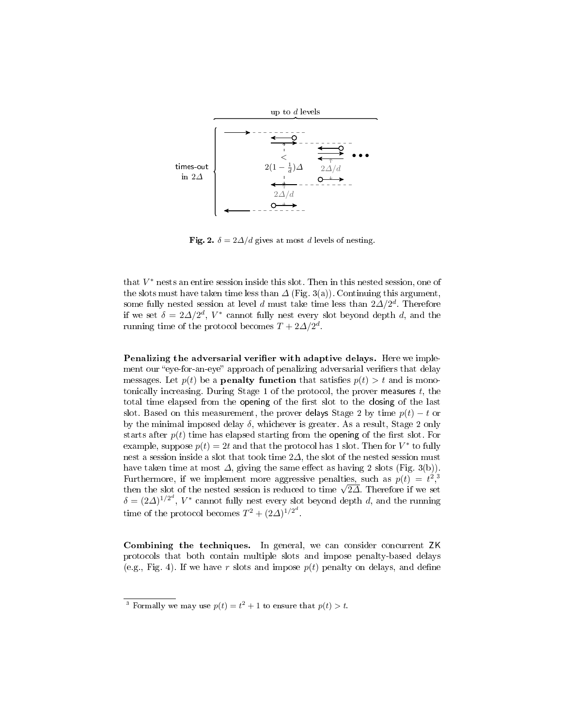

Fig. 2.  $\delta = 2\Delta/d$  gives at most d levels of nesting.

that  $V^*$  nests an entire session inside this slot. Then in this nested session, one of the slots must have taken time less than  $\Delta$  (Fig. 3(a)). Continuing this argument, some fully nested session at level  $d$  must take time less than  $2\Delta/2^d$ . Therefore if we set  $\delta = 2\Delta/2^d$ ,  $V^*$  cannot fully nest every slot beyond depth d, and the running time of the protocol becomes  $T + 2\Delta/2^d$ .

Penalizing the adversarial verifier with adaptive delays. Here we implement our "eye-for-an-eye" approach of penalizing adversarial verifiers that delay messages. Let  $p(t)$  be a **penalty function** that satisfies  $p(t) > t$  and is monotonically increasing. During Stage 1 of the protocol, the prover measures  $t$ , the total time elapsed from the opening of the first slot to the closing of the last slot. Based on this measurement, the prover delays Stage 2 by time  $p(t) - t$  or by the minimal imposed delay  $\delta$ , whichever is greater. As a result, Stage 2 only starts after  $p(t)$  time has elapsed starting from the opening of the first slot. For example, suppose  $p(t) = 2t$  and that the protocol has 1 slot. Then for  $V^*$  to fully nest a session inside a slot that took time  $2\Delta$ , the slot of the nested session must have taken time at most  $\Delta$ , giving the same effect as having 2 slots (Fig. 3(b)). Furthermore, if we implement more aggressive penalties, such as  $p(t) = t^2$ , Furthermore, if we implement more aggressive penaities, such as  $p(t) = t^2$ , then the slot of the nested session is reduced to time  $\sqrt{2}\Delta$ . Therefore if we set  $\delta = (2\Delta)^{1/2^d}$ ,  $V^*$  cannot fully nest every slot beyond depth d, and the running time of the protocol becomes  $T^2 + (2\Delta)^{1/2^d}$ .

Combining the techniques. In general, we can consider concurrent ZK protocols that both contain multiple slots and impose penalty-based delays (e.g., Fig. 4). If we have r slots and impose  $p(t)$  penalty on delays, and define

<sup>&</sup>lt;sup>3</sup> Formally we may use  $p(t) = t^2 + 1$  to ensure that  $p(t) > t$ .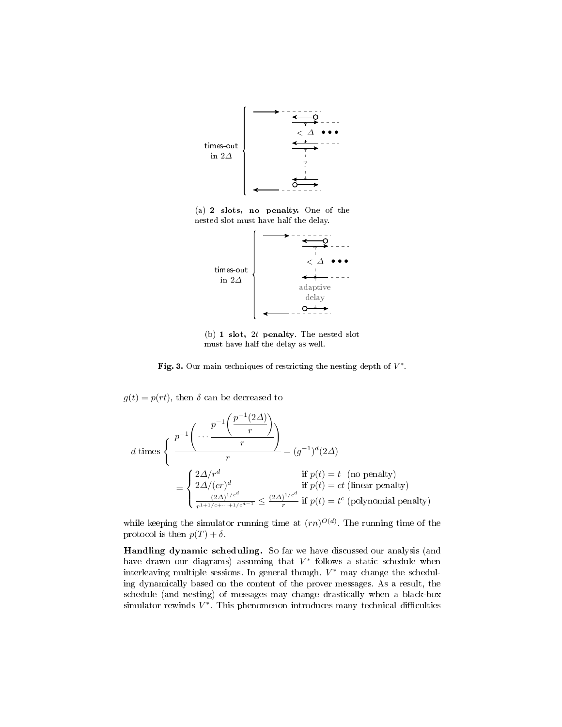

(a) 2 slots, no penalty. One of the nested slot must have half the delay.



(b) 1 slot,  $2t$  penalty. The nested slot must have half the delay as well.

Fig. 3. Our main techniques of restricting the nesting depth of  $V^*$ .

 $g(t) = p(rt)$ , then  $\delta$  can be decreased to

$$
d \text{ times } \begin{cases} \frac{p^{-1}\left(\dots \frac{p^{-1}\left(\frac{2\Delta}{r}\right)}{r}\right)}{r} = (g^{-1})^d (2\Delta) \\ = \begin{cases} \frac{2\Delta}{r} d & \text{if } p(t) = t \pmod{2} \\ \frac{2\Delta}{(cr)^d} & \text{if } p(t) = ct \text{ (linear penalty)} \\ \frac{(2\Delta)^{1/c^d}}{r^{1+1/c + \dots + 1/c^{d-1}}} \le \frac{(2\Delta)^{1/c^d}}{r} \text{ if } p(t) = t^c \text{ (polynomial penalty)} \end{cases}
$$

while keeping the simulator running time at  $(rn)^{O(d)}$ . The running time of the protocol is then  $p(T) + \delta$ .

Handling dynamic scheduling. So far we have discussed our analysis (and have drawn our diagrams) assuming that  $V^*$  follows a static schedule when interleaving multiple sessions. In general though,  $V^*$  may change the scheduling dynamically based on the content of the prover messages. As a result, the schedule (and nesting) of messages may change drastically when a black-box simulator rewinds  $V^*$ . This phenomenon introduces many technical difficulties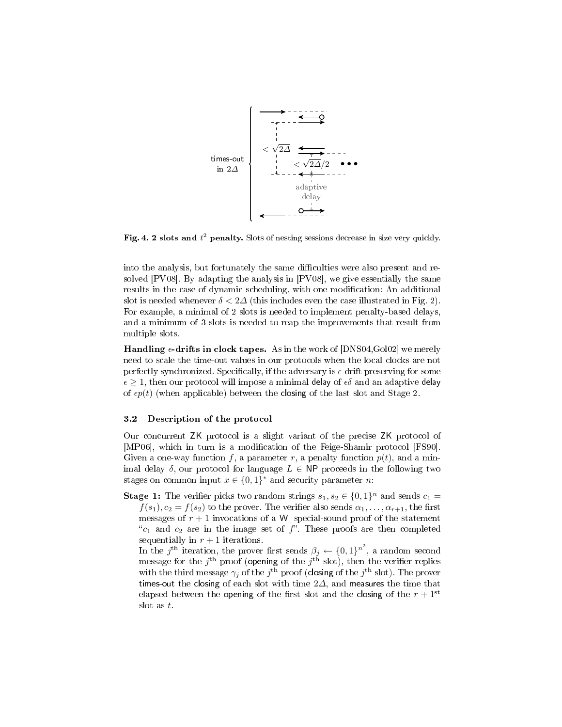

Fig. 4. 2 slots and  $t^2$  penalty. Slots of nesting sessions decrease in size very quickly.

into the analysis, but fortunately the same difficulties were also present and resolved [PV08]. By adapting the analysis in [PV08], we give essentially the same results in the case of dynamic scheduling, with one modification: An additional slot is needed whenever  $\delta < 2\Delta$  (this includes even the case illustrated in Fig. 2). For example, a minimal of 2 slots is needed to implement penalty-based delays, and a minimum of 3 slots is needed to reap the improvements that result from multiple slots.

**Handling**  $\epsilon$ **-drifts in clock tapes.** As in the work of [DNS04,Gol02] we merely need to scale the time-out values in our protocols when the local clocks are not perfectly synchronized. Specifically, if the adversary is  $\epsilon$ -drift preserving for some  $\epsilon \geq 1$ , then our protocol will impose a minimal delay of  $\epsilon \delta$  and an adaptive delay of  $\epsilon p(t)$  (when applicable) between the closing of the last slot and Stage 2.

#### 3.2 Description of the protocol

Our concurrent ZK protocol is a slight variant of the precise ZK protocol of [MP06], which in turn is a modification of the Feige-Shamir protocol [FS90]. Given a one-way function f, a parameter r, a penalty function  $p(t)$ , and a minimal delay  $\delta$ , our protocol for language  $L \in \mathsf{NP}$  proceeds in the following two stages on common input  $x \in \{0,1\}^*$  and security parameter *n*:

**Stage 1:** The verifier picks two random strings  $s_1, s_2 \in \{0, 1\}^n$  and sends  $c_1 =$  $f(s_1), c_2 = f(s_2)$  to the prover. The verifier also sends  $\alpha_1, \ldots, \alpha_{r+1}$ , the first messages of  $r + 1$  invocations of a WI special-sound proof of the statement " $c_1$  and  $c_2$  are in the image set of f". These proofs are then completed sequentially in  $r + 1$  iterations.

In the j<sup>th</sup> iteration, the prover first sends  $\beta_j \leftarrow \{0,1\}^{n^2}$ , a random second message for the  $j^{\text{th}}$  proof (opening of the  $j^{\text{th}}$  slot), then the verifier replies with the third message  $\gamma_j$  of the  $j^{\text{th}}$  proof (closing of the  $j^{\text{th}}$  slot). The prover times-out the closing of each slot with time  $2\Delta$ , and measures the time that elapsed between the opening of the first slot and the closing of the  $r + 1<sup>st</sup>$ slot as t.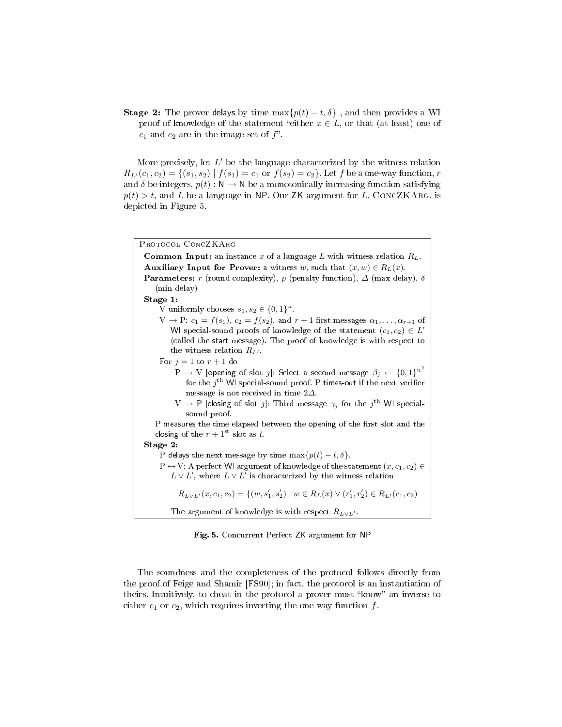**Stage 2:** The prover delays by time  $\max\{p(t) - t, \delta\}$ , and then provides a WI proof of knowledge of the statement "either  $x \in L$ , or that (at least) one of  $c_1$  and  $c_2$  are in the image set of  $f$ .

More precisely, let  $L'$  be the language characterized by the witness relation  $R_{L}(c_1, c_2) = \{(s_1, s_2) | f(s_1) = c_1 \text{ or } f(s_2) = c_2\}.$  Let f be a one-way function, r and  $\delta$  be integers,  $p(t): \mathbb{N} \to \mathbb{N}$  be a monotonically increasing function satisfying  $p(t) > t$ , and L be a language in NP. Our ZK argument for L, CONCZKARG, is depicted in Figure 5.

| PROTOCOL CONCZKARG                                                                                                   |
|----------------------------------------------------------------------------------------------------------------------|
| <b>Common Input:</b> an instance x of a language L with witness relation $R_L$ .                                     |
| <b>Auxiliary Input for Prover:</b> a witness w, such that $(x, w) \in R_L(x)$ .                                      |
| <b>Parameters:</b> r (round complexity), p (penalty function), $\Delta$ (max delay), $\delta$                        |
| (min delay)                                                                                                          |
| Stage 1:                                                                                                             |
| V uniformly chooses $s_1, s_2 \in \{0, 1\}^n$ .                                                                      |
| $V \rightarrow P$ : $c_1 = f(s_1)$ , $c_2 = f(s_2)$ , and $r + 1$ first messages $\alpha_1, \ldots, \alpha_{r+1}$ of |
| WI special-sound proofs of knowledge of the statement $(c_1, c_2) \in L'$                                            |
| (called the start message). The proof of knowledge is with respect to                                                |
| the witness relation $R_{L'}$ .                                                                                      |
| For $j=1$ to $r+1$ do                                                                                                |
| $P \rightarrow V$ [opening of slot j]: Select a second message $\beta_j \leftarrow \{0,1\}^{n^2}$                    |
| for the $j^{\text{th}}$ WI special-sound proof. P times-out if the next verifier                                     |
| message is not received in time $2\Delta$ .                                                                          |
| $V \rightarrow P$ [closing of slot j]: Third message $\gamma_j$ for the j <sup>th</sup> WI special-                  |
| sound proof.                                                                                                         |
| P measures the time elapsed between the opening of the first slot and the                                            |
| closing of the $r + 1$ <sup>st</sup> slot as t.                                                                      |
| Stage 2:                                                                                                             |
| P delays the next message by time $\max\{p(t) - t, \delta\}.$                                                        |
| $P \leftrightarrow V$ : A perfect-WI argument of knowledge of the statement $(x, c_1, c_2) \in$                      |
| $L \vee L'$ , where $L \vee L'$ is characterized by the witness relation                                             |
| $R_{L\vee L'}(x, c_1, c_2) = \{(w, s'_1, s'_2) \mid w \in R_L(x) \vee (r'_1, r'_2) \in R_{L'}(c_1, c_2)\}$           |
| The argument of knowledge is with respect $R_{L\vee L'}$ .                                                           |

Fig. 5. Concurrent Perfect ZK argument for NP

The soundness and the completeness of the protocol follows directly from the proof of Feige and Shamir [FS90]; in fact, the protocol is an instantiation of theirs. Intuitively, to cheat in the protocol a prover must "know" an inverse to either  $c_1$  or  $c_2$ , which requires inverting the one-way function  $f$ .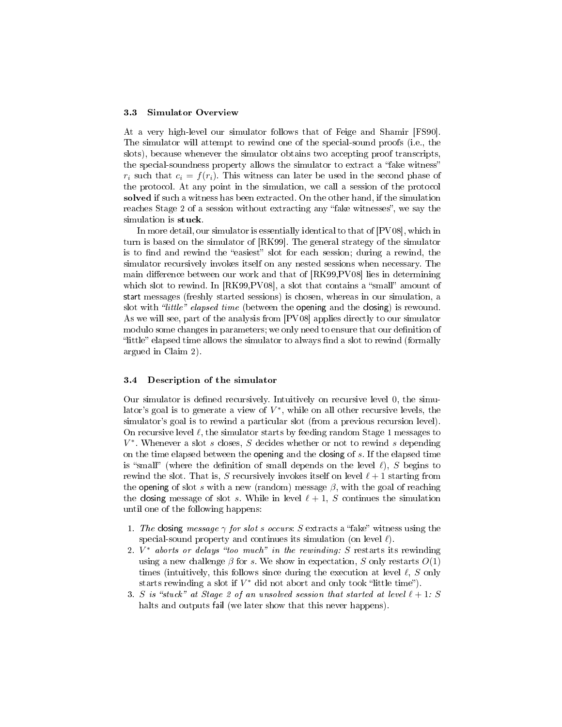#### 3.3 Simulator Overview

At a very high-level our simulator follows that of Feige and Shamir [FS90]. The simulator will attempt to rewind one of the special-sound proofs (i.e., the slots), because whenever the simulator obtains two accepting proof transcripts, the special-soundness property allows the simulator to extract a "fake witness"  $r_i$  such that  $c_i = f(r_i)$ . This witness can later be used in the second phase of the protocol. At any point in the simulation, we call a session of the protocol solved if such a witness has been extracted. On the other hand, if the simulation reaches Stage 2 of a session without extracting any "fake witnesses", we say the simulation is stuck.

In more detail, our simulator is essentially identical to that of [PV08], which in turn is based on the simulator of [RK99]. The general strategy of the simulator is to find and rewind the "easiest" slot for each session; during a rewind, the simulator recursively invokes itself on any nested sessions when necessary. The main difference between our work and that of [RK99,PV08] lies in determining which slot to rewind. In  $[RK99, PV08]$ , a slot that contains a "small" amount of start messages (freshly started sessions) is chosen, whereas in our simulation, a slot with *'little'' elapsed time* (between the opening and the closing) is rewound. As we will see, part of the analysis from [PV08] applies directly to our simulator modulo some changes in parameters; we only need to ensure that our definition of little" elapsed time allows the simulator to always find a slot to rewind (formally argued in Claim 2).

#### 3.4 Description of the simulator

Our simulator is defined recursively. Intuitively on recursive level 0, the simulator's goal is to generate a view of  $V^*$ , while on all other recursive levels, the simulator's goal is to rewind a particular slot (from a previous recursion level). On recursive level  $\ell$ , the simulator starts by feeding random Stage 1 messages to  $V^*$ . Whenever a slot s closes, S decides whether or not to rewind s depending on the time elapsed between the opening and the closing of  $s$ . If the elapsed time is "small" (where the definition of small depends on the level  $\ell$ ), S begins to rewind the slot. That is, S recursively invokes itself on level  $\ell + 1$  starting from the opening of slot s with a new (random) message  $\beta$ , with the goal of reaching the closing message of slot s. While in level  $\ell + 1$ , S continues the simulation until one of the following happens:

- 1. The closing message  $\gamma$  for slot s occurs: S extracts a "fake" witness using the special-sound property and continues its simulation (on level  $\ell$ ).
- 2.  $V^*$  aborts or delays "too much" in the rewinding: S restarts its rewinding using a new challenge  $\beta$  for s. We show in expectation, S only restarts  $O(1)$ times (intuitively, this follows since during the execution at level  $\ell$ , S only starts rewinding a slot if  $V^*$  did not abort and only took "little time").
- 3. S is "stuck" at Stage 2 of an unsolved session that started at level  $\ell + 1: S$ halts and outputs fail (we later show that this never happens).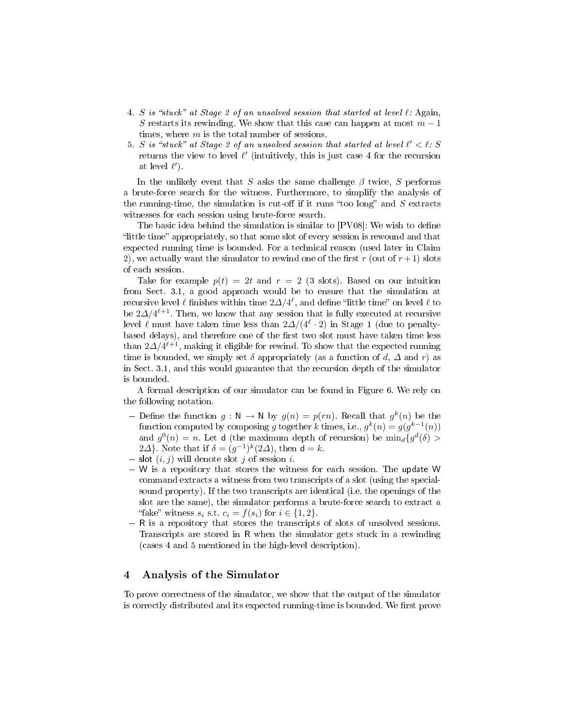- 4. S is "stuck" at Stage 2 of an unsolved session that started at level  $\ell$ : Again, S restarts its rewinding. We show that this case can happen at most  $m-1$ times, where  $m$  is the total number of sessions.
- 5. S is "stuck" at Stage 2 of an unsolved session that started at level  $\ell' < \ell$ : S returns the view to level  $\ell'$  (intuitively, this is just case 4 for the recursion at level  $\ell'$ ).

In the unlikely event that S asks the same challenge  $\beta$  twice, S performs a brute-force search for the witness. Furthermore, to simplify the analysis of the running-time, the simulation is cut-off if it runs "too long" and  $S$  extracts witnesses for each session using brute-force search.

The basic idea behind the simulation is similar to  $[PV08]$ : We wish to define "little time" appropriately, so that some slot of every session is rewound and that expected running time is bounded. For a technical reason (used later in Claim 2), we actually want the simulator to rewind one of the first r (out of  $r+1$ ) slots of each session.

Take for example  $p(t) = 2t$  and  $r = 2$  (3 slots). Based on our intuition from Sect. 3.1, a good approach would be to ensure that the simulation at recursive level  $\ell$  finishes within time  $2\Delta/4^\ell,$  and define "little time" on level  $\ell$  to be  $2\Delta/4^{\ell+1}$ . Then, we know that any session that is fully executed at recursive level  $\ell$  must have taken time less than  $2\Delta/(4^\ell\cdot 2)$  in Stage 1 (due to penaltybased delays), and therefore one of the first two slot must have taken time less than  $2\varDelta/4^{\ell+1},$  making it eligible for rewind. To show that the expected running time is bounded, we simply set  $\delta$  appropriately (as a function of d,  $\Delta$  and r) as in Sect. 3.1, and this would guarantee that the recursion depth of the simulator is bounded.

A formal description of our simulator can be found in Figure 6. We rely on the following notation.

- Define the function  $g: \mathbb{N} \to \mathbb{N}$  by  $g(n) = p(rn)$ . Recall that  $g^k(n)$  be the function computed by composing g together k times, i.e.,  $g^k(n) = g(g^{k-1}(n))$ and  $g^0(n) = n$ . Let **d** (the maximum depth of recursion) be  $\min_d \{g^d(\delta) >$ 2 $\Delta$ }. Note that if  $\delta = (g^{-1})^k (2\Delta)$ , then  $d = k$ .
- slot  $(i, j)$  will denote slot j of session i.
- W is a repository that stores the witness for each session. The update W command extracts a witness from two transcripts of a slot (using the specialsound property). If the two transcripts are identical (i.e. the openings of the slot are the same), the simulator performs a brute-force search to extract a "fake" witness  $s_i$  s.t.  $c_i = f(s_i)$  for  $i \in \{1, 2\}$ .
- R is a repository that stores the transcripts of slots of unsolved sessions. Transcripts are stored in R when the simulator gets stuck in a rewinding (cases 4 and 5 mentioned in the high-level description).

### 4 Analysis of the Simulator

To prove correctness of the simulator, we show that the output of the simulator is correctly distributed and its expected running-time is bounded. We first prove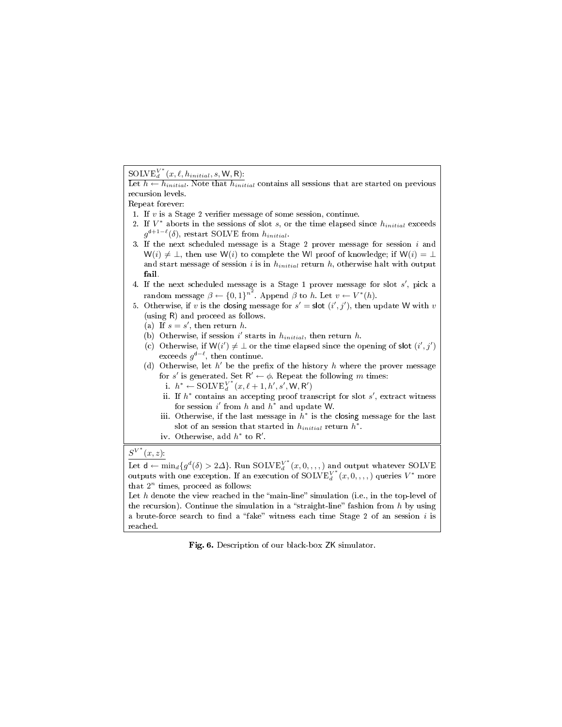# $\mathrm{SOLVE}^{V^*}_d(x, \ell, h_{initial}, s, \mathsf{W}, \mathsf{R})$ :

Let  $h \leftarrow h_{initial}$ . Note that  $h_{initial}$  contains all sessions that are started on previous recursion levels.

Repeat forever:

- 1. If  $v$  is a Stage 2 verifier message of some session, continue.
- 2. If  $V^*$  aborts in the sessions of slot s, or the time elapsed since  $h_{initial}$  exceeds  $g^{d+1-\ell}(\delta)$ , restart SOLVE from  $h_{initial}$ .
- 3. If the next scheduled message is a Stage 2 prover message for session  $i$  and  $W(i) \neq \bot$ , then use W(i) to complete the WI proof of knowledge; if  $W(i) = \bot$ and start message of session i is in  $h_{initial}$  return h, otherwise halt with output fail.
- 4. If the next scheduled message is a Stage 1 prover message for slot  $s'$ , pick a random message  $\beta \leftarrow \{0,1\}^{n^2}$ . Append  $\beta$  to h. Let  $v \leftarrow V^*(h)$ .
- 5. Otherwise, if v is the closing message for  $s' =$  slot  $(i', j')$ , then update W with v (using R) and proceed as follows.
	- (a) If  $s = s'$ , then return h.
	- (b) Otherwise, if session i' starts in  $h_{initial}$ , then return h.
	- (c) Otherwise, if  $W(i') \neq \bot$  or the time elapsed since the opening of slot  $(i', j')$ exceeds  $g^{d-\ell}$ , then continue.
	- (d) Otherwise, let  $h'$  be the prefix of the history  $h$  where the prover message for s' is generated. Set  $R' \leftarrow \phi$ . Repeat the following m times:
		- i.  $h^* \leftarrow \text{SOLVE}_{d}^{V^*}(x, \ell+1, h', s', \mathsf{W}, \mathsf{R}')$
		- ii. If  $h^*$  contains an accepting proof transcript for slot  $s'$ , extract witness for session  $i'$  from h and  $h^*$  and update W.
		- iii. Otherwise, if the last message in  $h^*$  is the closing message for the last slot of an session that started in  $h_{initial}$  return  $h^*$ .
		- iv. Otherwise, add  $h^*$  to R'.

# $S^{V^*}(x, z)$ :

Let  $d \leftarrow \min_d \{g^d(\delta) > 2\Delta\}$ . Run SOLVE $V^*(x, 0, \ldots)$  and output whatever SOLVE outputs with one exception. If an execution of  $\mathrm{SOLVE}^{V^*}_d(x,0,,,,)$  queries  $V^*$  more that  $2^n$  times, proceed as follows:

Let h denote the view reached in the "main-line" simulation (i.e., in the top-level of the recursion). Continue the simulation in a "straight-line" fashion from h by using a brute-force search to find a "fake" witness each time Stage 2 of an session  $i$  is reached.

Fig. 6. Description of our black-box ZK simulator.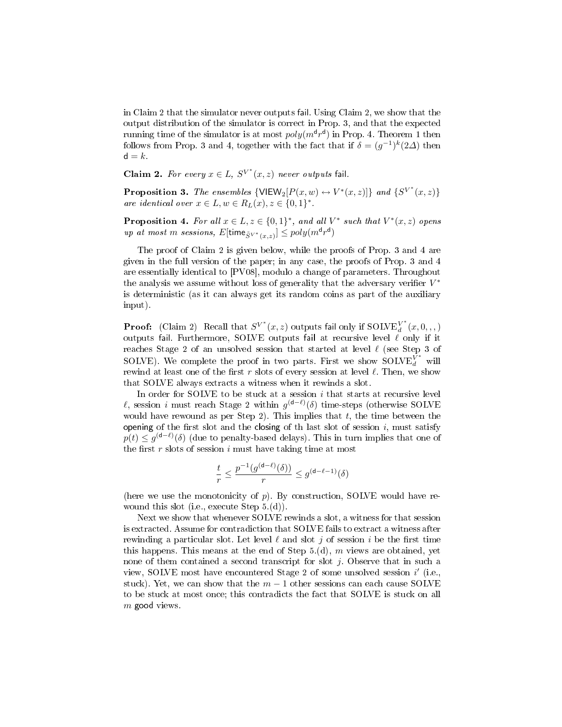in Claim 2 that the simulator never outputs fail. Using Claim 2, we show that the output distribution of the simulator is correct in Prop. 3, and that the expected running time of the simulator is at most  $poly(m^d r^d)$  in Prop. 4. Theorem 1 then follows from Prop. 3 and 4, together with the fact that if  $\delta = (g^{-1})^k (2\Delta)$  then  $d = k$ .

Claim 2. For every  $x \in L$ ,  $S^{V^*}(x, z)$  never outputs fail.

**Proposition 3.** The ensembles  $\{VIEW_2[P(x, w) \leftrightarrow V^*(x, z)]\}$  and  $\{S^{V^*}(x, z)\}$ are identical over  $x \in L, w \in R_L(x), z \in \{0,1\}^*$ .

**Proposition 4.** For all  $x \in L$ ,  $z \in \{0,1\}^*$ , and all  $V^*$  such that  $V^*(x, z)$  opens  $up$  at most  $m$  sessions,  $E[\text{time}_{\tilde{S}^{V^*}(x,z)}] \leq poly(m^{\textsf{d}} r^{\textsf{d}})$ 

The proof of Claim 2 is given below, while the proofs of Prop. 3 and 4 are given in the full version of the paper; in any case, the proofs of Prop. 3 and 4 are essentially identical to [PV08], modulo a change of parameters. Throughout the analysis we assume without loss of generality that the adversary verifier  $V^*$ is deterministic (as it can always get its random coins as part of the auxiliary input).

**Proof:** (Claim 2) Recall that  $S^{V^*}(x, z)$  outputs fail only if  $SOLVE^{V^*}_d$  $\frac{d}{d}(x, 0, 0, 0)$ outputs fail. Furthermore, SOLVE outputs fail at recursive level  $\ell$  only if it reaches Stage 2 of an unsolved session that started at level  $\ell$  (see Step 3 of SOLVE). We complete the proof in two parts. First we show  $\text{SOLVE}_{d}^{\bar{V^*}}$  will rewind at least one of the first  $r$  slots of every session at level  $\ell$ . Then, we show that SOLVE always extracts a witness when it rewinds a slot.

In order for SOLVE to be stuck at a session  $i$  that starts at recursive level  $\ell$ , session *i* must reach Stage 2 within  $g^{(d-\ell)}(\delta)$  time-steps (otherwise SOLVE would have rewound as per Step 2). This implies that  $t$ , the time between the opening of the first slot and the closing of th last slot of session  $i$ , must satisfy  $p(t) \leq g^{(\mathsf{d}-\ell)}(\delta)$  (due to penalty-based delays). This in turn implies that one of the first  $r$  slots of session  $i$  must have taking time at most

$$
\frac{t}{r} \leq \frac{p^{-1}(g^{(\mathbf{d} - \ell)}(\delta))}{r} \leq g^{(\mathbf{d} - \ell - 1)}(\delta)
$$

(here we use the monotonicity of  $p$ ). By construction, SOLVE would have rewound this slot (i.e., execute Step 5.(d)).

Next we show that whenever SOLVE rewinds a slot, a witness for that session is extracted. Assume for contradiction that SOLVE fails to extract a witness after rewinding a particular slot. Let level  $\ell$  and slot j of session i be the first time this happens. This means at the end of Step  $5.(d)$ , m views are obtained, yet none of them contained a second transcript for slot  $j$ . Observe that in such a view, SOLVE most have encountered Stage 2 of some unsolved session i' (i.e., stuck). Yet, we can show that the  $m-1$  other sessions can each cause SOLVE to be stuck at most once; this contradicts the fact that SOLVE is stuck on all  $m$  good views.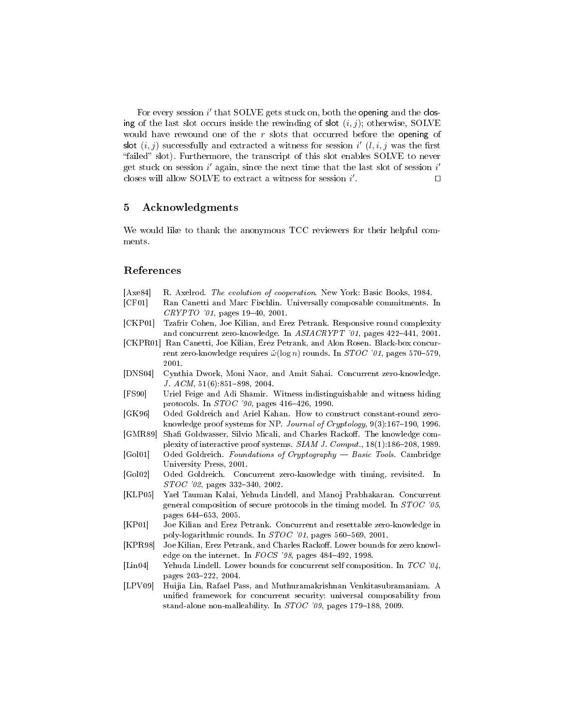For every session i' that SOLVE gets stuck on, both the opening and the closing of the last slot occurs inside the rewinding of slot  $(i, j)$ ; otherwise, SOLVE would have rewound one of the  $r$  slots that occurred before the opening of slot  $(i, j)$  successfully and extracted a witness for session i'  $(l, i, j$  was the first "failed" slot). Furthermore, the transcript of this slot enables SOLVE to never get stuck on session  $i'$  again, since the next time that the last slot of session  $i'$ closes will allow SOLVE to extract a witness for session  $i'$ . The contract of  $\Box$ 

# 5 Acknowledgments

We would like to thank the anonymous TCC reviewers for their helpful comments.

## References

- [Axe84] R. Axelrod. The evolution of cooperation. New York: Basic Books, 1984.
- [CF01] Ran Canetti and Marc Fischlin. Universally composable commitments. In  $CRYPTO$  '01, pages 19-40, 2001.
- [CKP01] Tzafrir Cohen, Joe Kilian, and Erez Petrank. Responsive round complexity and concurrent zero-knowledge. In ASIACRYPT '01, pages 422-441, 2001.
- [CKPR01] Ran Canetti, Joe Kilian, Erez Petrank, and Alon Rosen. Black-box concurrent zero-knowledge requires  $\tilde{\omega}(\log n)$  rounds. In  $STOC$  '01, pages 570–579, 2001.
- [DNS04] Cynthia Dwork, Moni Naor, and Amit Sahai. Concurrent zero-knowledge. J.  $ACM$ ,  $51(6):851-898$ ,  $2004$ .
- [FS90] Uriel Feige and Adi Shamir. Witness indistinguishable and witness hiding protocols. In  $STOC$  '90, pages 416-426, 1990.
- [GK96] Oded Goldreich and Ariel Kahan. How to construct constant-round zeroknowledge proof systems for NP. Journal of Cryptology,  $9(3):167-190$ , 1996.
- [GMR89] Shafi Goldwasser, Silvio Micali, and Charles Rackoff. The knowledge complexity of interactive proof systems.  $SIAM J.$   $Comput., 18(1):186-208, 1989.$
- [Gol01] Oded Goldreich. Foundations of Cryptography Basic Tools. Cambridge University Press, 2001.
- [Gol02] Oded Goldreich. Concurrent zero-knowledge with timing, revisited. In  $STOC$  '02, pages 332-340, 2002.
- [KLP05] Yael Tauman Kalai, Yehuda Lindell, and Manoj Prabhakaran. Concurrent general composition of secure protocols in the timing model. In STOC '05, pages 644-653, 2005.
- [KP01] Joe Kilian and Erez Petrank. Concurrent and resettable zero-knowledge in poly-logarithmic rounds. In  $STOC$  '01, pages 560-569, 2001.
- [KPR98] Joe Kilian, Erez Petrank, and Charles Rackoff. Lower bounds for zero knowledge on the internet. In  $FOCS$  '98, pages 484-492, 1998.
- [Lin04] Yehuda Lindell. Lower bounds for concurrent self composition. In TCC '04, pages 203-222, 2004.
- [LPV09] Huijia Lin, Rafael Pass, and Muthuramakrishnan Venkitasubramaniam. A unified framework for concurrent security: universal composability from stand-alone non-malleability. In  $STOC$  '09, pages 179-188, 2009.